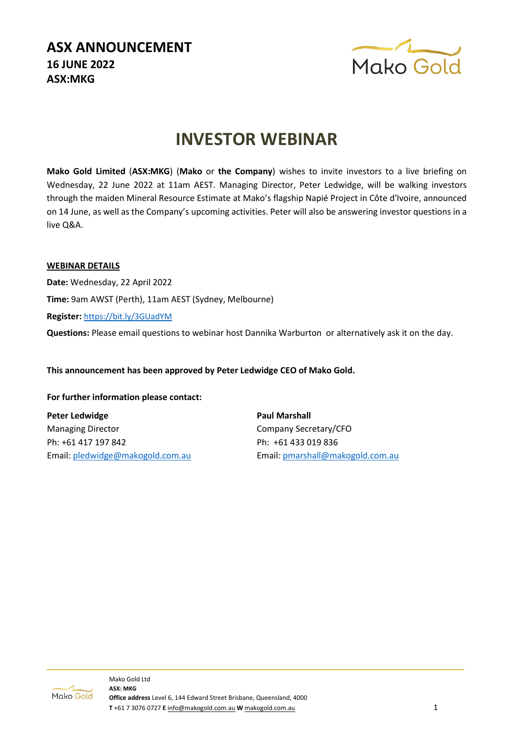# **ASX ANNOUNCEMENT 16 JUNE 2022 ASX:MKG**



# **INVESTOR WEBINAR**

**Mako Gold Limited** (**ASX:MKG**) (**Mako** or **the Company**) wishes to invite investors to a live briefing on Wednesday, 22 June 2022 at 11am AEST. Managing Director, Peter Ledwidge, will be walking investors through the maiden Mineral Resource Estimate at Mako's flagship Napié Project in Côte d'Ivoire, announced on 14 June, as well as the Company's upcoming activities. Peter will also be answering investor questions in a live Q&A.

### **WEBINAR DETAILS**

**Date:** Wednesday, 22 April 2022 **Time:** 9am AWST (Perth), 11am AEST (Sydney, Melbourne) **Register:** <https://bit.ly/3GUadYM>

**Questions:** Please email questions to webinar host Dannika Warburton or alternatively ask it on the day.

**This announcement has been approved by Peter Ledwidge CEO of Mako Gold.**

#### **For further information please contact:**

**Peter Ledwidge** Managing Director Ph: +61 417 197 842 Email: [pledwidge@makogold.com.au](mailto:pledwidge@makogold.com.au) **Paul Marshall** Company Secretary/CFO Ph: +61 433 019 836 Email: [pmarshall@makogold.com.au](mailto:pmarshall@makogold.com.au)